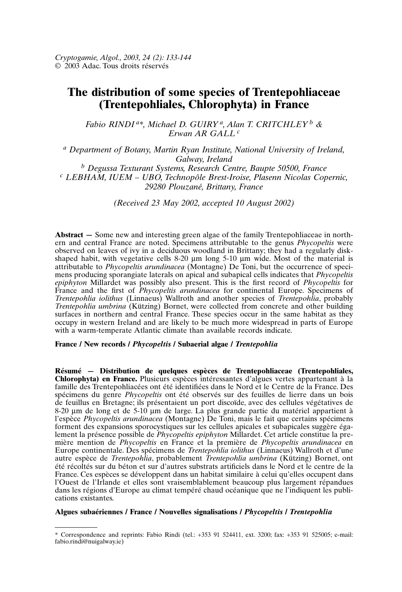# **The distribution of some species of Trentepohliaceae (Trentepohliales, Chlorophyta) in France**

*Fabio RINDI a\*, Michael D. GUIRY a, Alan T. CRITCHLEY <sup>b</sup> & Erwan AR GALL <sup>c</sup>*

*<sup>a</sup> Department of Botany, Martin Ryan Institute, National University of Ireland, Galway, Ireland*<br><sup>*b*</sup> Degussa Texturant Systems, Research Centre, Baupte 50500, France *<sup>b</sup> Degussa Texturant Systems, Research Centre, Baupte 50500, France <sup>c</sup> LEBHAM, IUEM – UBO, Technopôle Brest-Iroise, Plasenn Nicolas Copernic, 29280 Plouzané, Brittany, France*

*(Received 23 May 2002, accepted 10 August 2002)*

**Abstract —** Some new and interesting green algae of the family Trentepohliaceae in northern and central France are noted. Specimens attributable to the genus *Phycopeltis* were observed on leaves of ivy in a deciduous woodland in Brittany; they had a regularly diskshaped habit, with vegetative cells 8-20 µm long 5-10 µm wide. Most of the material is attributable to *Phycopeltis arundinacea* (Montagne) De Toni, but the occurrence of specimens producing sporangiate laterals on apical and subapical cells indicates that *Phycopeltis epiphyton* Millardet was possibly also present. This is the first record of *Phycopeltis* for France and the first of *Phycopeltis arundinacea* for continental Europe. Specimens of *Trentepohlia iolithus* (Linnaeus) Wallroth and another species of *Trentepohlia*, probably *Trentepohlia umbrina* (Kützing) Bornet, were collected from concrete and other building surfaces in northern and central France. These species occur in the same habitat as they occupy in western Ireland and are likely to be much more widespread in parts of Europe with a warm-temperate Atlantic climate than available records indicate.

## **France / New records /** *Phycopeltis* **/ Subaerial algae /** *Trentepohlia*

**Résumé — Distribution de quelques espèces de Trentepohliaceae (Trentepohliales, Chlorophyta) en France.** Plusieurs espèces intéressantes d'algues vertes appartenant à la famille des Trentepohliacées ont été identifiées dans le Nord et le Centre de la France. Des spécimens du genre *Phycopeltis* ont été observés sur des feuilles de lierre dans un bois de feuillus en Bretagne; ils présentaient un port discoïde, avec des cellules végétatives de 8-20 µm de long et de 5-10 µm de large. La plus grande partie du matériel appartient à l'espèce *Phycopeltis arundinacea* (Montagne) De Toni, mais le fait que certains spécimens forment des expansions sporocystiques sur les cellules apicales et subapicales suggère également la présence possible de *Phycopeltis epiphyton* Millardet. Cet article constitue la première mention de *Phycopeltis* en France et la première de *Phycopeltis arundinacea* en Europe continentale. Des spécimens de *Trentepohlia iolithus* (Linnaeus) Wallroth et d'une autre espèce de *Trentepohlia*, probablement *Trentepohlia umbrina* (Kützing) Bornet, ont été récoltés sur du béton et sur d'autres substrats artificiels dans le Nord et le centre de la France. Ces espèces se développent dans un habitat similaire à celui qu'elles occupent dans l'Ouest de l'Irlande et elles sont vraisemblablement beaucoup plus largement répandues dans les régions d'Europe au climat tempéré chaud océanique que ne l'indiquent les publications existantes.

## **Algues subaériennes / France / Nouvelles signalisations /** *Phycopeltis* **/** *Trentepohlia*

<sup>\*</sup> Correspondence and reprints: Fabio Rindi (tel.: +353 91 524411, ext. 3200; fax: +353 91 525005; e-mail: fabio.rindi@nuigalway.ie)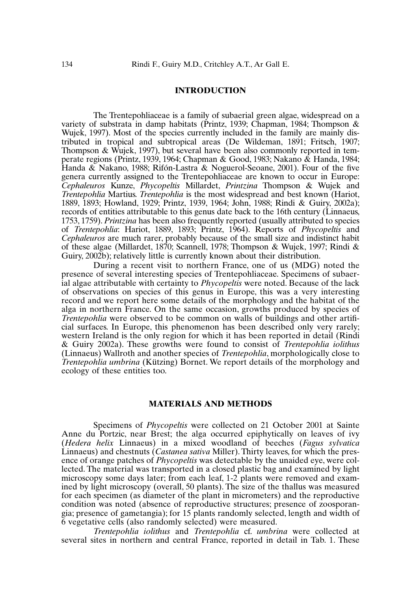### **INTRODUCTION**

The Trentepohliaceae is a family of subaerial green algae, widespread on a variety of substrata in damp habitats (Printz, 1939; Chapman, 1984; Thompson & Wujek, 1997). Most of the species currently included in the family are mainly distributed in tropical and subtropical areas (De Wildeman, 1891; Fritsch, 1907; Thompson & Wujek, 1997), but several have been also commonly reported in temperate regions (Printz, 1939, 1964; Chapman & Good, 1983; Nakano & Handa, 1984; Handa & Nakano, 1988; Rifón-Lastra & Noguerol-Seoane, 2001). Four of the five genera currently assigned to the Trentepohliaceae are known to occur in Europe: *Cephaleuros* Kunze, *Phycopeltis* Millardet, *Printzina* Thompson & Wujek and *Trentepohlia* Martius. *Trentepohlia* is the most widespread and best known (Hariot, 1889, 1893; Howland, 1929; Printz, 1939, 1964; John, 1988; Rindi & Guiry, 2002a); records of entities attributable to this genus date back to the 16th century (Linnaeus, 1753, 1759). *Printzina* has been also frequently reported (usually attributed to species of *Trentepohlia*: Hariot, 1889, 1893; Printz, 1964). Reports of *Phycopeltis* and *Cephaleuros* are much rarer, probably because of the small size and indistinct habit of these algae (Millardet, 1870; Scannell, 1978; Thompson & Wujek, 1997; Rindi & Guiry, 2002b); relatively little is currently known about their distribution.

During a recent visit to northern France, one of us (MDG) noted the presence of several interesting species of Trentepohliaceae. Specimens of subaerial algae attributable with certainty to *Phycopeltis* were noted. Because of the lack of observations on species of this genus in Europe, this was a very interesting record and we report here some details of the morphology and the habitat of the alga in northern France. On the same occasion, growths produced by species of *Trentepohlia* were observed to be common on walls of buildings and other artificial surfaces. In Europe, this phenomenon has been described only very rarely; western Ireland is the only region for which it has been reported in detail (Rindi & Guiry 2002a). These growths were found to consist of *Trentepohlia iolithus* (Linnaeus) Wallroth and another species of *Trentepohlia*, morphologically close to *Trentepohlia umbrina* (Kützing) Bornet. We report details of the morphology and ecology of these entities too.

# **MATERIALS AND METHODS**

Specimens of *Phycopeltis* were collected on 21 October 2001 at Sainte Anne du Portzic, near Brest; the alga occurred epiphytically on leaves of ivy (*Hedera helix* Linnaeus) in a mixed woodland of beeches (*Fagus sylvatica* Linnaeus) and chestnuts (*Castanea sativa* Miller). Thirty leaves, for which the presence of orange patches of *Phycopeltis* was detectable by the unaided eye, were collected. The material was transported in a closed plastic bag and examined by light microscopy some days later; from each leaf, 1-2 plants were removed and examined by light microscopy (overall, 50 plants). The size of the thallus was measured for each specimen (as diameter of the plant in micrometers) and the reproductive condition was noted (absence of reproductive structures; presence of zoosporangia; presence of gametangia); for 15 plants randomly selected, length and width of 6 vegetative cells (also randomly selected) were measured.

*Trentepohlia iolithus* and *Trentepohlia* cf. *umbrina* were collected at several sites in northern and central France, reported in detail in Tab. 1. These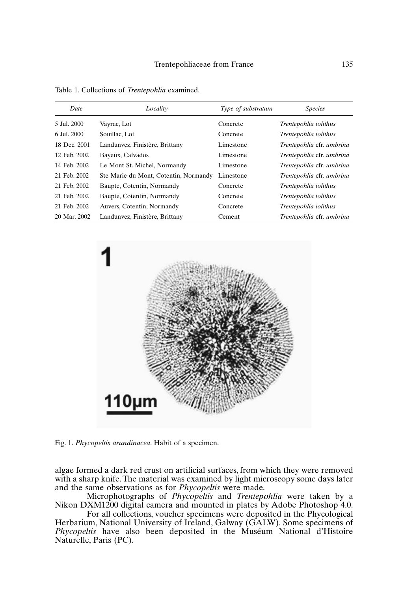| Date         | Locality                              | Type of substratum | <b>Species</b>            |
|--------------|---------------------------------------|--------------------|---------------------------|
| 5 Jul. 2000  | Vayrac, Lot                           | Concrete           | Trentepohlia iolithus     |
| 6 Jul. 2000  | Souillac, Lot                         | Concrete           | Trentepohlia iolithus     |
| 18 Dec. 2001 | Landunvez, Finistère, Brittany        | Limestone          | Trentepohlia cfr. umbrina |
| 12 Feb. 2002 | Bayeux, Calvados                      | Limestone          | Trentepohlia cfr. umbrina |
| 14 Feb. 2002 | Le Mont St. Michel, Normandy          | Limestone          | Trentepohlia cfr. umbrina |
| 21 Feb. 2002 | Ste Marie du Mont, Cotentin, Normandy | Limestone          | Trentepohlia cfr. umbrina |
| 21 Feb. 2002 | Baupte, Cotentin, Normandy            | Concrete           | Trentepohlia iolithus     |
| 21 Feb. 2002 | Baupte, Cotentin, Normandy            | Concrete           | Trentepohlia iolithus     |
| 21 Feb. 2002 | Auvers, Cotentin, Normandy            | Concrete           | Trentepohlia iolithus     |
| 20 Mar. 2002 | Landunvez, Finistère, Brittany        | Cement             | Trentepohlia cfr. umbrina |

Table 1. Collections of *Trentepohlia* examined.



Fig. 1. *Phycopeltis arundinacea*. Habit of a specimen.

algae formed a dark red crust on artificial surfaces, from which they were removed with a sharp knife. The material was examined by light microscopy some days later and the same observations as for *Phycopeltis* were made.

Microphotographs of *Phycopeltis* and *Trentepohlia* were taken by a Nikon DXM1200 digital camera and mounted in plates by Adobe Photoshop 4.0.

For all collections, voucher specimens were deposited in the Phycological Herbarium, National University of Ireland, Galway (GALW). Some specimens of *Phycopeltis* have also been deposited in the Muséum National d'Histoire Naturelle, Paris (PC).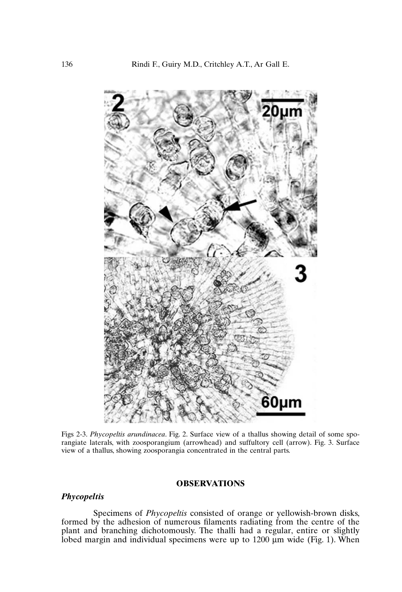

Figs 2-3. *Phycopeltis arundinacea*. Fig. 2. Surface view of a thallus showing detail of some sporangiate laterals, with zoosporangium (arrowhead) and suffultory cell (arrow). Fig. 3. Surface view of a thallus, showing zoosporangia concentrated in the central parts.

# **OBSERVATIONS**

## *Phycopeltis*

Specimens of *Phycopeltis* consisted of orange or yellowish-brown disks, formed by the adhesion of numerous filaments radiating from the centre of the plant and branching dichotomously. The thalli had a regular, entire or slightly lobed margin and individual specimens were up to 1200 µm wide (Fig. 1). When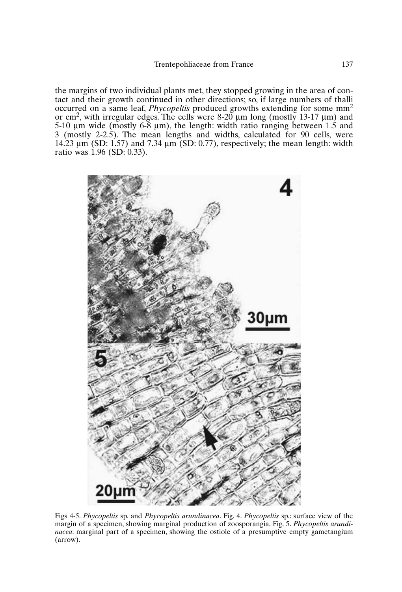the margins of two individual plants met, they stopped growing in the area of contact and their growth continued in other directions; so, if large numbers of thalli occurred on a same leaf, *Phycopeltis* produced growths extending for some mm2 or cm<sup>2</sup>, with irregular edges. The cells were 8-20  $\mu$ m long (mostly 13-17  $\mu$ m) and 5-10  $\mu$ m wide (mostly 6-8  $\mu$ m), the length: width ratio ranging between 1.5 and 3 (mostly 2-2.5). The mean lengths and widths, calculated for 90 cells, were 14.23 µm (SD: 1.57) and 7.34 µm (SD: 0.77), respectively; the mean length: width ratio was  $1.96$  (SD: 0.33).



Figs 4-5. *Phycopeltis* sp. and *Phycopeltis arundinacea*. Fig. 4. *Phycopeltis* sp.: surface view of the margin of a specimen, showing marginal production of zoosporangia. Fig. 5. *Phycopeltis arundinacea*: marginal part of a specimen, showing the ostiole of a presumptive empty gametangium (arrow).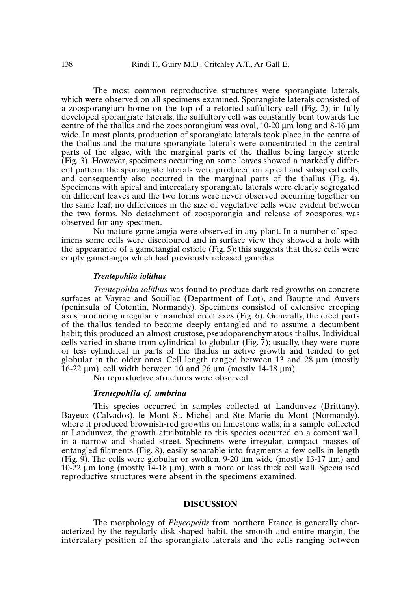The most common reproductive structures were sporangiate laterals, which were observed on all specimens examined. Sporangiate laterals consisted of a zoosporangium borne on the top of a retorted suffultory cell (Fig. 2); in fully developed sporangiate laterals, the suffultory cell was constantly bent towards the centre of the thallus and the zoosporangium was oval,  $10\n-20 \mu m$  long and 8-16  $\mu$ m wide. In most plants, production of sporangiate laterals took place in the centre of the thallus and the mature sporangiate laterals were concentrated in the central parts of the algae, with the marginal parts of the thallus being largely sterile (Fig. 3). However, specimens occurring on some leaves showed a markedly different pattern: the sporangiate laterals were produced on apical and subapical cells, and consequently also occurred in the marginal parts of the thallus (Fig. 4). Specimens with apical and intercalary sporangiate laterals were clearly segregated on different leaves and the two forms were never observed occurring together on the same leaf; no differences in the size of vegetative cells were evident between the two forms. No detachment of zoosporangia and release of zoospores was observed for any specimen.

No mature gametangia were observed in any plant. In a number of specimens some cells were discoloured and in surface view they showed a hole with the appearance of a gametangial ostiole (Fig. 5); this suggests that these cells were empty gametangia which had previously released gametes.

## *Trentepohlia iolithus*

*Trentepohlia iolithus* was found to produce dark red growths on concrete surfaces at Vayrac and Souillac (Department of Lot), and Baupte and Auvers (peninsula of Cotentin, Normandy). Specimens consisted of extensive creeping axes, producing irregularly branched erect axes (Fig. 6). Generally, the erect parts of the thallus tended to become deeply entangled and to assume a decumbent habit; this produced an almost crustose, pseudoparenchymatous thallus. Individual cells varied in shape from cylindrical to globular (Fig. 7); usually, they were more or less cylindrical in parts of the thallus in active growth and tended to get globular in the older ones. Cell length ranged between 13 and 28 µm (mostly  $16-22 \mu m$ , cell width between 10 and 26  $\mu m$  (mostly 14-18  $\mu m$ ).

No reproductive structures were observed.

#### *Trentepohlia cf. umbrina*

This species occurred in samples collected at Landunvez (Brittany), Bayeux (Calvados), le Mont St. Michel and Ste Marie du Mont (Normandy), where it produced brownish-red growths on limestone walls; in a sample collected at Landunvez, the growth attributable to this species occurred on a cement wall, in a narrow and shaded street. Specimens were irregular, compact masses of entangled filaments (Fig. 8), easily separable into fragments a few cells in length (Fig. 9). The cells were globular or swollen, 9-20  $\mu$ m wide (mostly 13-17  $\mu$ m) and 10-22 µm long (mostly 14-18 µm), with a more or less thick cell wall. Specialised reproductive structures were absent in the specimens examined.

### **DISCUSSION**

The morphology of *Phycopeltis* from northern France is generally characterized by the regularly disk-shaped habit, the smooth and entire margin, the intercalary position of the sporangiate laterals and the cells ranging between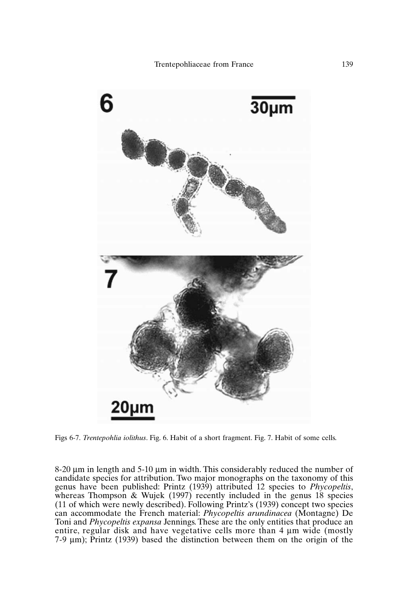

Figs 6-7. *Trentepohlia iolithus*. Fig. 6. Habit of a short fragment. Fig. 7. Habit of some cells.

8-20 µm in length and 5-10 µm in width. This considerably reduced the number of candidate species for attribution. Two major monographs on the taxonomy of this genus have been published: Printz (1939) attributed 12 species to *Phycopeltis*, whereas Thompson & Wujek (1997) recently included in the genus 18 species (11 of which were newly described). Following Printz's (1939) concept two species can accommodate the French material: *Phycopeltis arundinacea* (Montagne) De Toni and *Phycopeltis expansa* Jennings. These are the only entities that produce an entire, regular disk and have vegetative cells more than 4 µm wide (mostly 7-9 µm); Printz (1939) based the distinction between them on the origin of the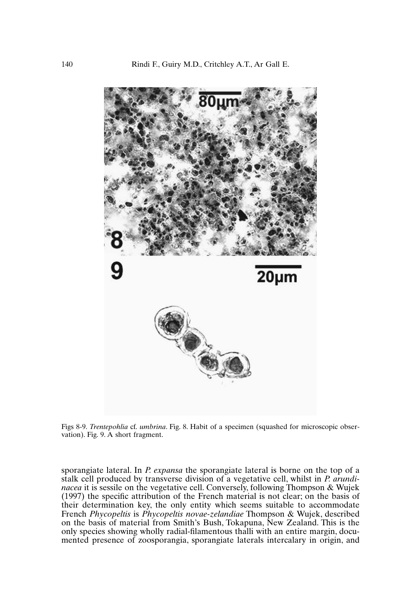

Figs 8-9. *Trentepohlia* cf. *umbrina*. Fig. 8. Habit of a specimen (squashed for microscopic observation). Fig. 9. A short fragment.

sporangiate lateral. In *P. expansa* the sporangiate lateral is borne on the top of a stalk cell produced by transverse division of a vegetative cell, whilst in *P. arundinacea* it is sessile on the vegetative cell. Conversely, following Thompson & Wujek (1997) the specific attribution of the French material is not clear; on the basis of their determination key, the only entity which seems suitable to accommodate French *Phycopeltis* is *Phycopeltis novae-zelandiae* Thompson & Wujek, described on the basis of material from Smith's Bush, Tokapuna, New Zealand. This is the only species showing wholly radial-filamentous thalli with an entire margin, documented presence of zoosporangia, sporangiate laterals intercalary in origin, and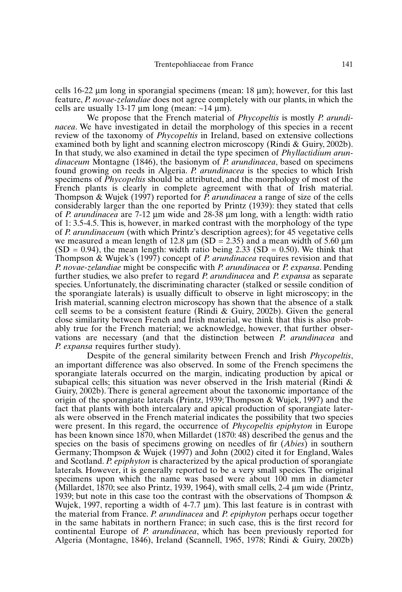cells 16-22 µm long in sporangial specimens (mean: 18 µm); however, for this last feature, *P. novae-zelandiae* does not agree completely with our plants, in which the cells are usually 13-17  $\mu$ m long (mean: ~14  $\mu$ m).

We propose that the French material of *Phycopeltis* is mostly *P. arundinacea*. We have investigated in detail the morphology of this species in a recent review of the taxonomy of *Phycopeltis* in Ireland, based on extensive collections examined both by light and scanning electron microscopy (Rindi & Guiry, 2002b). In that study, we also examined in detail the type specimen of *Phyllactidium arundinaceum* Montagne (1846), the basionym of *P. arundinacea*, based on specimens found growing on reeds in Algeria. *P. arundinacea* is the species to which Irish specimens of *Phycopeltis* should be attributed, and the morphology of most of the French plants is clearly in complete agreement with that of Irish material. Thompson & Wujek (1997) reported for *P. arundinacea* a range of size of the cells considerably larger than the one reported by Printz (1939): they stated that cells of *P. arundinacea* are 7-12 µm wide and 28-38 µm long, with a length: width ratio of 1: 3.5-4.5. This is, however, in marked contrast with the morphology of the type of *P. arundinaceum* (with which Printz's description agrees); for 45 vegetative cells we measured a mean length of 12.8  $\mu$ m (SD = 2.35) and a mean width of 5.60  $\mu$ m  $(SD = 0.94)$ , the mean length: width ratio being 2.33 (SD = 0.50). We think that Thompson & Wujek's (1997) concept of *P. arundinacea* requires revision and that *P. novae-zelandiae* might be conspecific with *P. arundinacea* or *P. expansa*. Pending further studies, we also prefer to regard *P. arundinacea* and *P. expansa* as separate species. Unfortunately, the discriminating character (stalked or sessile condition of the sporangiate laterals) is usually difficult to observe in light microscopy; in the Irish material, scanning electron microscopy has shown that the absence of a stalk cell seems to be a consistent feature (Rindi & Guiry, 2002b). Given the general close similarity between French and Irish material, we think that this is also probably true for the French material; we acknowledge, however, that further observations are necessary (and that the distinction between *P. arundinacea* and *P. expansa* requires further study).

Despite of the general similarity between French and Irish *Phycopeltis*, an important difference was also observed. In some of the French specimens the sporangiate laterals occurred on the margin, indicating production by apical or subapical cells; this situation was never observed in the Irish material (Rindi  $\&$ Guiry, 2002b). There is general agreement about the taxonomic importance of the origin of the sporangiate laterals (Printz, 1939; Thompson & Wujek, 1997) and the fact that plants with both intercalary and apical production of sporangiate laterals were observed in the French material indicates the possibility that two species were present. In this regard, the occurrence of *Phycopeltis epiphyton* in Europe has been known since 1870, when Millardet (1870: 48) described the genus and the species on the basis of specimens growing on needles of fir (*Abies*) in southern Germany; Thompson & Wujek (1997) and John (2002) cited it for England, Wales and Scotland. *P. epiphyton* is characterized by the apical production of sporangiate laterals. However, it is generally reported to be a very small species. The original specimens upon which the name was based were about 100 mm in diameter (Millardet, 1870; see also Printz, 1939, 1964), with small cells, 2-4  $\mu$ m wide (Printz, 1939; but note in this case too the contrast with the observations of Thompson  $\&$ Wujek, 1997, reporting a width of 4-7.7  $\mu$ m). This last feature is in contrast with the material from France. *P. arundinacea* and *P. epiphyton* perhaps occur together in the same habitats in northern France; in such case, this is the first record for continental Europe of *P. arundinacea*, which has been previously reported for Algeria (Montagne, 1846), Ireland (Scannell, 1965, 1978; Rindi & Guiry, 2002b)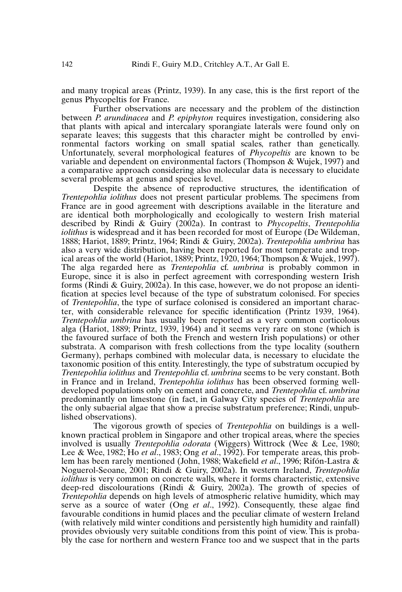and many tropical areas (Printz, 1939). In any case, this is the first report of the genus Phycopeltis for France.

Further observations are necessary and the problem of the distinction between *P. arundinacea* and *P. epiphyton* requires investigation, considering also that plants with apical and intercalary sporangiate laterals were found only on separate leaves; this suggests that this character might be controlled by environmental factors working on small spatial scales, rather than genetically. Unfortunately, several morphological features of *Phycopeltis* are known to be variable and dependent on environmental factors (Thompson & Wujek, 1997) and a comparative approach considering also molecular data is necessary to elucidate several problems at genus and species level.

Despite the absence of reproductive structures, the identification of *Trentepohlia iolithus* does not present particular problems. The specimens from France are in good agreement with descriptions available in the literature and are identical both morphologically and ecologically to western Irish material described by Rindi & Guiry (2002a). In contrast to *Phycopeltis*, *Trentepohlia iolithus* is widespread and it has been recorded for most of Europe (De Wildeman, 1888; Hariot, 1889; Printz, 1964; Rindi & Guiry, 2002a). *Trentepohlia umbrina* has also a very wide distribution, having been reported for most temperate and tropical areas of the world (Hariot, 1889; Printz, 1920, 1964; Thompson & Wujek, 1997). The alga regarded here as *Trentepohlia* cf. *umbrina* is probably common in Europe, since it is also in perfect agreement with corresponding western Irish forms (Rindi & Guiry, 2002a). In this case, however, we do not propose an identification at species level because of the type of substratum colonised. For species of *Trentepohlia*, the type of surface colonised is considered an important character, with considerable relevance for specific identification (Printz 1939, 1964). *Trentepohlia umbrina* has usually been reported as a very common corticolous alga (Hariot, 1889; Printz, 1939, 1964) and it seems very rare on stone (which is the favoured surface of both the French and western Irish populations) or other substrata. A comparison with fresh collections from the type locality (southern Germany), perhaps combined with molecular data, is necessary to elucidate the taxonomic position of this entity. Interestingly, the type of substratum occupied by *Trentepohlia iolithus* and *Trentepohlia* cf. *umbrina* seems to be very constant. Both in France and in Ireland, *Trentepohlia iolithus* has been observed forming welldeveloped populations only on cement and concrete, and *Trentepohlia* cf. *umbrina* predominantly on limestone (in fact, in Galway City species of *Trentepohlia* are the only subaerial algae that show a precise substratum preference; Rindi, unpublished observations).

The vigorous growth of species of *Trentepohlia* on buildings is a wellknown practical problem in Singapore and other tropical areas, where the species involved is usually *Trentepohlia odorata* (Wiggers) Wittrock (Wee & Lee, 1980; Lee & Wee, 1982; Ho *et al*., 1983; Ong *et al*., 1992). For temperate areas, this problem has been rarely mentioned (John, 1988; Wakefield *et al*., 1996; Rifón-Lastra & Noguerol-Seoane, 2001; Rindi & Guiry, 2002a). In western Ireland, *Trentepohlia iolithus* is very common on concrete walls, where it forms characteristic, extensive deep-red discolourations (Rindi & Guiry, 2002a). The growth of species of *Trentepohlia* depends on high levels of atmospheric relative humidity, which may serve as a source of water (Ong *et al*., 1992). Consequently, these algae find favourable conditions in humid places and the peculiar climate of western Ireland (with relatively mild winter conditions and persistently high humidity and rainfall) provides obviously very suitable conditions from this point of view. This is probably the case for northern and western France too and we suspect that in the parts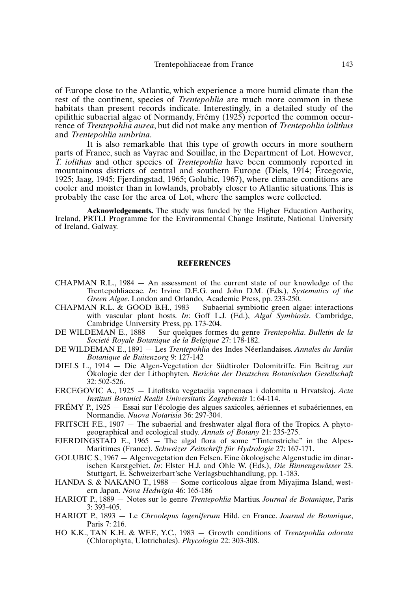of Europe close to the Atlantic, which experience a more humid climate than the rest of the continent, species of *Trentepohlia* are much more common in these habitats than present records indicate. Interestingly, in a detailed study of the epilithic subaerial algae of Normandy, Frémy (1925) reported the common occurrence of *Trentepohlia aurea*, but did not make any mention of *Trentepohlia iolithus* and *Trentepohlia umbrina*.

It is also remarkable that this type of growth occurs in more southern parts of France, such as Vayrac and Souillac, in the Department of Lot. However, *T. iolithus* and other species of *Trentepohlia* have been commonly reported in mountainous districts of central and southern Europe (Diels, 1914; Ercegovic, 1925; Jaag, 1945; Fjerdingstad, 1965; Golubic, 1967), where climate conditions are cooler and moister than in lowlands, probably closer to Atlantic situations. This is probably the case for the area of Lot, where the samples were collected.

**Acknowledgements.** The study was funded by the Higher Education Authority, Ireland, PRTLI Programme for the Environmental Change Institute, National University of Ireland, Galway.

#### **REFERENCES**

- CHAPMAN R.L., 1984 An assessment of the current state of our knowledge of the Trentepohliaceae. *In*: Irvine D.E.G. and John D.M. (Eds.), *Systematics of the Green Algae*. London and Orlando, Academic Press, pp. 233-250.
- CHAPMAN R.L. & GOOD B.H., 1983 Subaerial symbiotic green algae: interactions with vascular plant hosts. *In*: Goff L.J. (Ed.), *Algal Symbiosis*. Cambridge, Cambridge University Press, pp. 173-204.
- DE WILDEMAN E., 1888 Sur quelques formes du genre *Trentepohlia*. *Bulletin de la Societé Royale Botanique de la Belgique* 27: 178-182.
- DE WILDEMAN E., 1891 Les *Trentepohlia* des Indes Néerlandaises. *Annales du Jardin Botanique de Buitenzorg* 9: 127-142
- DIELS L., 1914 Die Algen-Vegetation der Südtiroler Dolomitriffe. Ein Beitrag zur Ökologie der der Lithophyten*. Berichte der Deutschen Botanischen Gesellschaft* 32: 502-526.
- ERCEGOVIC A., 1925 Litofitska vegetacija vapnenaca i dolomita u Hrvatskoj. *Acta Instituti Botanici Realis Universitatis Zagrebensis* 1: 64-114.
- FRÉMY P., 1925 Essai sur l'écologie des algues saxicoles, aériennes et subaériennes, en Normandie. *Nuova Notarisia* 36: 297-304.
- FRITSCH F.E., 1907 The subaerial and freshwater algal flora of the Tropics. A phytogeographical and ecological study. *Annals of Botany* 21: 235-275.
- FJERDINGSTAD E.,  $1965 -$ The algal flora of some "Tintenstriche" in the Alpes-Maritimes (France). *Schweizer Zeitschrift für Hydrologie* 27: 167-171.
- GOLUBIC S., 1967 Algenvegetation den Felsen. Eine ökologische Algenstudie im dinarischen Karstgebiet. *In*: Elster H.J. and Ohle W. (Eds.), *Die Binnengewässer* 23. Stuttgart, E. Schweizerbart'sche Verlagsbuchhandlung, pp. 1-183.
- HANDA S. & NAKANO T., 1988 Some corticolous algae from Miyajima Island, western Japan. *Nova Hedwigia* 46: 165-186
- HARIOT P., 1889 Notes sur le genre *Trentepohlia* Martius. *Journal de Botanique*, Paris 3: 393-405.
- HARIOT P., 1893 Le *Chroolepus lageniferum* Hild. en France. *Journal de Botanique*, Paris 7: 216.
- HO K.K., TAN K.H. & WEE, Y.C., 1983 Growth conditions of *Trentepohlia odorata* (Chlorophyta, Ulotrichales). *Phycologia* 22: 303-308.